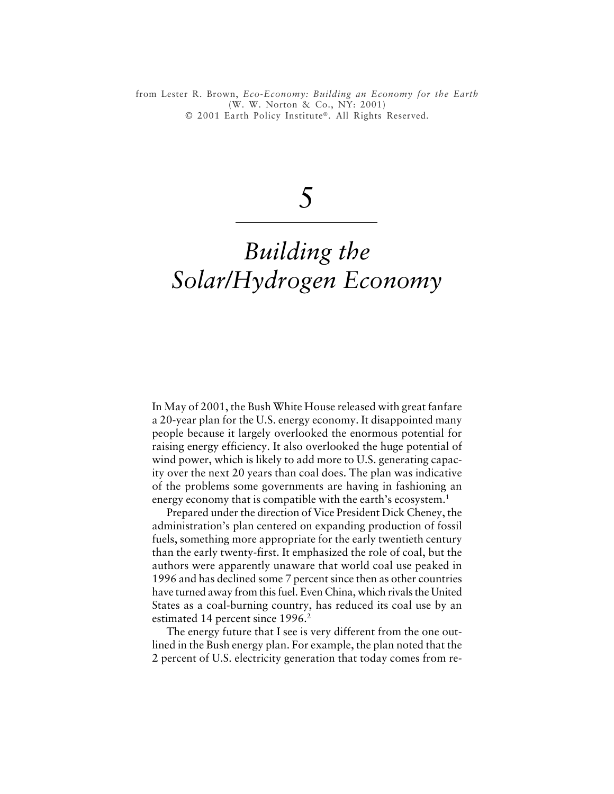*Building the Solar/Hydrogen Economy 97* © 2001 Earth Policy Institute®. All Rights Reserved.from Lester R. Brown, *Eco-Economy: Building an Economy for the Earth* (W. W. Norton & Co., NY: 2001)

5

# *Building the Solar/Hydrogen Economy*

In May of 2001, the Bush White House released with great fanfare a 20-year plan for the U.S. energy economy. It disappointed many people because it largely overlooked the enormous potential for raising energy efficiency. It also overlooked the huge potential of wind power, which is likely to add more to U.S. generating capacity over the next 20 years than coal does. The plan was indicative of the problems some governments are having in fashioning an energy economy that is compatible with the earth's ecosystem.<sup>1</sup>

Prepared under the direction of Vice President Dick Cheney, the administration's plan centered on expanding production of fossil fuels, something more appropriate for the early twentieth century than the early twenty-first. It emphasized the role of coal, but the authors were apparently unaware that world coal use peaked in 1996 and has declined some 7 percent since then as other countries have turned away from this fuel. Even China, which rivals the United States as a coal-burning country, has reduced its coal use by an estimated 14 percent since 1996.<sup>2</sup>

The energy future that I see is very different from the one outlined in the Bush energy plan. For example, the plan noted that the 2 percent of U.S. electricity generation that today comes from re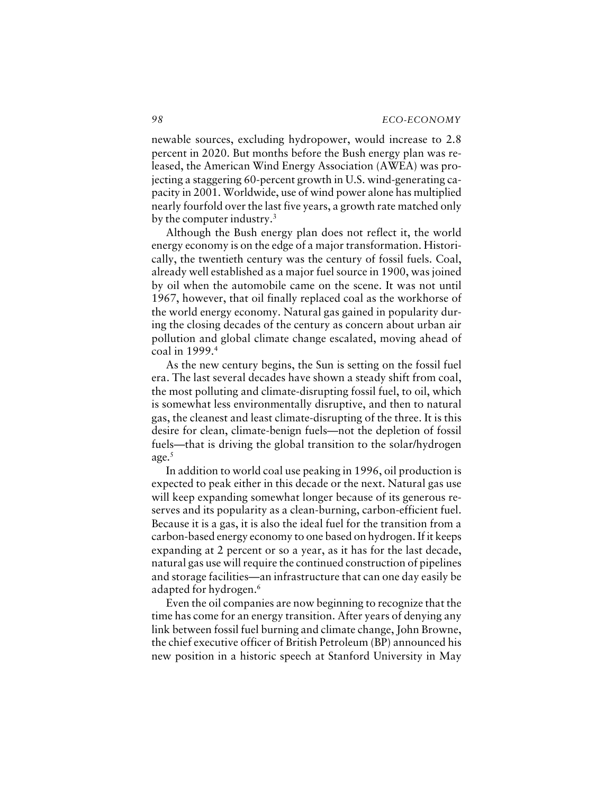newable sources, excluding hydropower, would increase to 2.8 percent in 2020. But months before the Bush energy plan was released, the American Wind Energy Association (AWEA) was projecting a staggering 60-percent growth in U.S. wind-generating capacity in 2001. Worldwide, use of wind power alone has multiplied nearly fourfold over the last five years, a growth rate matched only by the computer industry.<sup>3</sup>

Although the Bush energy plan does not reflect it, the world energy economy is on the edge of a major transformation. Historically, the twentieth century was the century of fossil fuels. Coal, already well established as a major fuel source in 1900, was joined by oil when the automobile came on the scene. It was not until 1967, however, that oil finally replaced coal as the workhorse of the world energy economy. Natural gas gained in popularity during the closing decades of the century as concern about urban air pollution and global climate change escalated, moving ahead of coal in 1999.<sup>4</sup>

As the new century begins, the Sun is setting on the fossil fuel era. The last several decades have shown a steady shift from coal, the most polluting and climate-disrupting fossil fuel, to oil, which is somewhat less environmentally disruptive, and then to natural gas, the cleanest and least climate-disrupting of the three. It is this desire for clean, climate-benign fuels—not the depletion of fossil fuels—that is driving the global transition to the solar/hydrogen  $\text{age.}^5$ 

In addition to world coal use peaking in 1996, oil production is expected to peak either in this decade or the next. Natural gas use will keep expanding somewhat longer because of its generous reserves and its popularity as a clean-burning, carbon-efficient fuel. Because it is a gas, it is also the ideal fuel for the transition from a carbon-based energy economy to one based on hydrogen. If it keeps expanding at 2 percent or so a year, as it has for the last decade, natural gas use will require the continued construction of pipelines and storage facilities—an infrastructure that can one day easily be adapted for hydrogen.<sup>6</sup>

Even the oil companies are now beginning to recognize that the time has come for an energy transition. After years of denying any link between fossil fuel burning and climate change, John Browne, the chief executive officer of British Petroleum (BP) announced his new position in a historic speech at Stanford University in May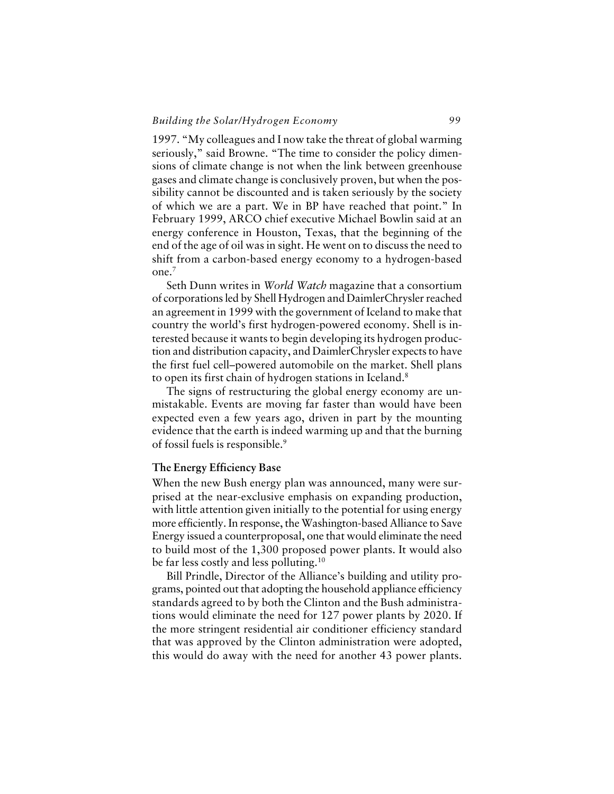1997. "My colleagues and I now take the threat of global warming seriously," said Browne. "The time to consider the policy dimensions of climate change is not when the link between greenhouse gases and climate change is conclusively proven, but when the possibility cannot be discounted and is taken seriously by the society of which we are a part. We in BP have reached that point." In February 1999, ARCO chief executive Michael Bowlin said at an energy conference in Houston, Texas, that the beginning of the end of the age of oil was in sight. He went on to discuss the need to shift from a carbon-based energy economy to a hydrogen-based one.<sup>7</sup>

Seth Dunn writes in *World Watch* magazine that a consortium of corporations led by Shell Hydrogen and DaimlerChrysler reached an agreement in 1999 with the government of Iceland to make that country the world's first hydrogen-powered economy. Shell is interested because it wants to begin developing its hydrogen production and distribution capacity, and DaimlerChrysler expects to have the first fuel cell–powered automobile on the market. Shell plans to open its first chain of hydrogen stations in Iceland.<sup>8</sup>

The signs of restructuring the global energy economy are unmistakable. Events are moving far faster than would have been expected even a few years ago, driven in part by the mounting evidence that the earth is indeed warming up and that the burning of fossil fuels is responsible.<sup>9</sup>

# **The Energy Efficiency Base**

When the new Bush energy plan was announced, many were surprised at the near-exclusive emphasis on expanding production, with little attention given initially to the potential for using energy more efficiently. In response, the Washington-based Alliance to Save Energy issued a counterproposal, one that would eliminate the need to build most of the 1,300 proposed power plants. It would also be far less costly and less polluting.<sup>10</sup>

Bill Prindle, Director of the Alliance's building and utility programs, pointed out that adopting the household appliance efficiency standards agreed to by both the Clinton and the Bush administrations would eliminate the need for 127 power plants by 2020. If the more stringent residential air conditioner efficiency standard that was approved by the Clinton administration were adopted, this would do away with the need for another 43 power plants.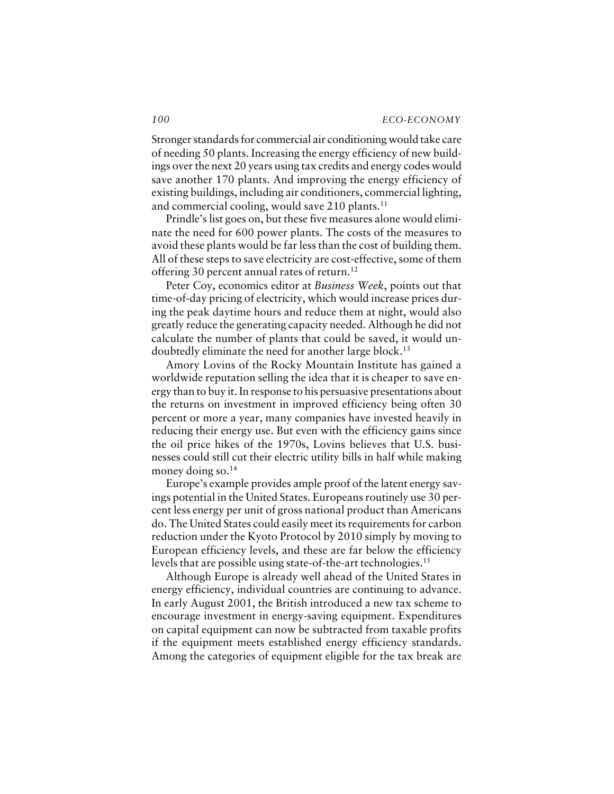### *100 ECO-ECONOMY*

Stronger standards for commercial air conditioning would take care of needing 50 plants. Increasing the energy efficiency of new buildings over the next 20 years using tax credits and energy codes would save another 170 plants. And improving the energy efficiency of existing buildings, including air conditioners, commercial lighting, and commercial cooling, would save 210 plants.<sup>11</sup>

Prindle's list goes on, but these five measures alone would eliminate the need for 600 power plants. The costs of the measures to avoid these plants would be far less than the cost of building them. All of these steps to save electricity are cost-effective, some of them offering 30 percent annual rates of return.<sup>12</sup>

Peter Coy, economics editor at *Business Week*, points out that time-of-day pricing of electricity, which would increase prices during the peak daytime hours and reduce them at night, would also greatly reduce the generating capacity needed. Although he did not calculate the number of plants that could be saved, it would undoubtedly eliminate the need for another large block.<sup>13</sup>

Amory Lovins of the Rocky Mountain Institute has gained a worldwide reputation selling the idea that it is cheaper to save energy than to buy it. In response to his persuasive presentations about the returns on investment in improved efficiency being often 30 percent or more a year, many companies have invested heavily in reducing their energy use. But even with the efficiency gains since the oil price hikes of the 1970s, Lovins believes that U.S. businesses could still cut their electric utility bills in half while making money doing so.<sup>14</sup>

Europe's example provides ample proof of the latent energy savings potential in the United States. Europeans routinely use 30 percent less energy per unit of gross national product than Americans do. The United States could easily meet its requirements for carbon reduction under the Kyoto Protocol by 2010 simply by moving to European efficiency levels, and these are far below the efficiency levels that are possible using state-of-the-art technologies.<sup>15</sup>

Although Europe is already well ahead of the United States in energy efficiency, individual countries are continuing to advance. In early August 2001, the British introduced a new tax scheme to encourage investment in energy-saving equipment. Expenditures on capital equipment can now be subtracted from taxable profits if the equipment meets established energy efficiency standards. Among the categories of equipment eligible for the tax break are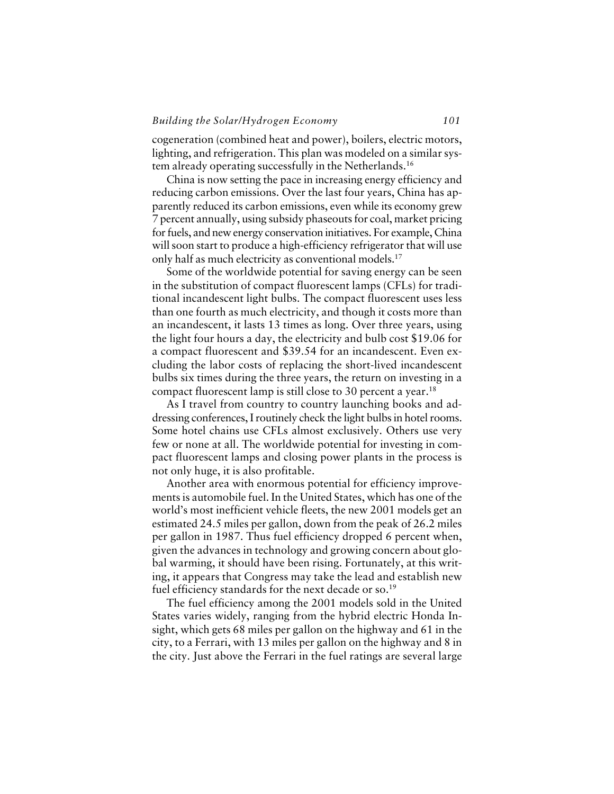# *Building the Solar/Hydrogen Economy 101*

cogeneration (combined heat and power), boilers, electric motors, lighting, and refrigeration. This plan was modeled on a similar system already operating successfully in the Netherlands.<sup>16</sup>

China is now setting the pace in increasing energy efficiency and reducing carbon emissions. Over the last four years, China has apparently reduced its carbon emissions, even while its economy grew 7 percent annually, using subsidy phaseouts for coal, market pricing for fuels, and new energy conservation initiatives. For example, China will soon start to produce a high-efficiency refrigerator that will use only half as much electricity as conventional models.<sup>17</sup>

Some of the worldwide potential for saving energy can be seen in the substitution of compact fluorescent lamps (CFLs) for traditional incandescent light bulbs. The compact fluorescent uses less than one fourth as much electricity, and though it costs more than an incandescent, it lasts 13 times as long. Over three years, using the light four hours a day, the electricity and bulb cost \$19.06 for a compact fluorescent and \$39.54 for an incandescent. Even excluding the labor costs of replacing the short-lived incandescent bulbs six times during the three years, the return on investing in a compact fluorescent lamp is still close to 30 percent a year.<sup>18</sup>

As I travel from country to country launching books and addressing conferences, I routinely check the light bulbs in hotel rooms. Some hotel chains use CFLs almost exclusively. Others use very few or none at all. The worldwide potential for investing in compact fluorescent lamps and closing power plants in the process is not only huge, it is also profitable.

Another area with enormous potential for efficiency improvements is automobile fuel. In the United States, which has one of the world's most inefficient vehicle fleets, the new 2001 models get an estimated 24.5 miles per gallon, down from the peak of 26.2 miles per gallon in 1987. Thus fuel efficiency dropped 6 percent when, given the advances in technology and growing concern about global warming, it should have been rising. Fortunately, at this writing, it appears that Congress may take the lead and establish new fuel efficiency standards for the next decade or so.<sup>19</sup>

The fuel efficiency among the 2001 models sold in the United States varies widely, ranging from the hybrid electric Honda Insight, which gets 68 miles per gallon on the highway and 61 in the city, to a Ferrari, with 13 miles per gallon on the highway and 8 in the city. Just above the Ferrari in the fuel ratings are several large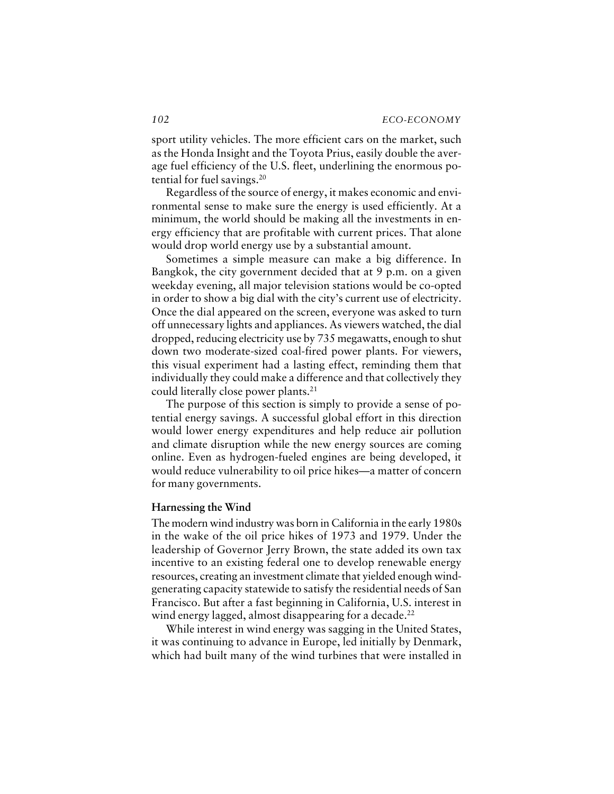sport utility vehicles. The more efficient cars on the market, such as the Honda Insight and the Toyota Prius, easily double the average fuel efficiency of the U.S. fleet, underlining the enormous potential for fuel savings.<sup>20</sup>

Regardless of the source of energy, it makes economic and environmental sense to make sure the energy is used efficiently. At a minimum, the world should be making all the investments in energy efficiency that are profitable with current prices. That alone would drop world energy use by a substantial amount.

Sometimes a simple measure can make a big difference. In Bangkok, the city government decided that at 9 p.m. on a given weekday evening, all major television stations would be co-opted in order to show a big dial with the city's current use of electricity. Once the dial appeared on the screen, everyone was asked to turn off unnecessary lights and appliances. As viewers watched, the dial dropped, reducing electricity use by 735 megawatts, enough to shut down two moderate-sized coal-fired power plants. For viewers, this visual experiment had a lasting effect, reminding them that individually they could make a difference and that collectively they could literally close power plants.<sup>21</sup>

The purpose of this section is simply to provide a sense of potential energy savings. A successful global effort in this direction would lower energy expenditures and help reduce air pollution and climate disruption while the new energy sources are coming online. Even as hydrogen-fueled engines are being developed, it would reduce vulnerability to oil price hikes—a matter of concern for many governments.

## **Harnessing the Wind**

The modern wind industry was born in California in the early 1980s in the wake of the oil price hikes of 1973 and 1979. Under the leadership of Governor Jerry Brown, the state added its own tax incentive to an existing federal one to develop renewable energy resources, creating an investment climate that yielded enough windgenerating capacity statewide to satisfy the residential needs of San Francisco. But after a fast beginning in California, U.S. interest in wind energy lagged, almost disappearing for a decade.<sup>22</sup>

While interest in wind energy was sagging in the United States, it was continuing to advance in Europe, led initially by Denmark, which had built many of the wind turbines that were installed in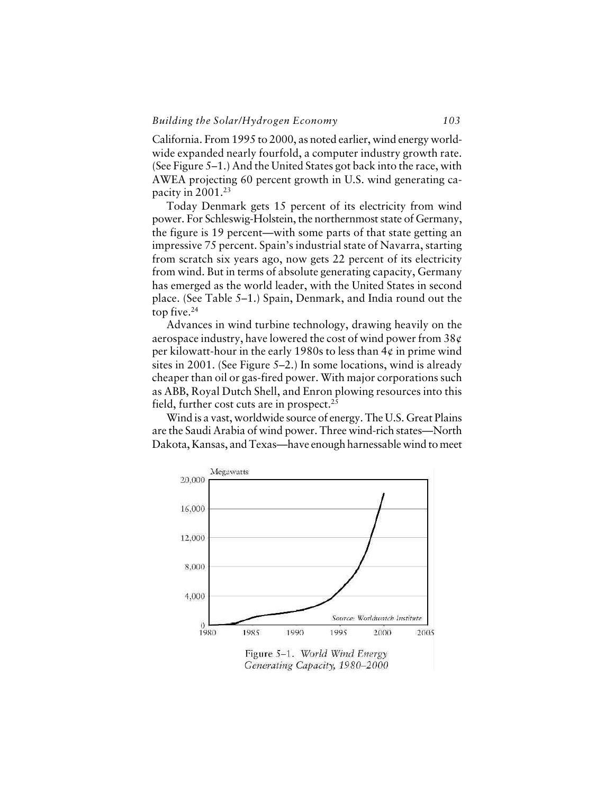California. From 1995 to 2000, as noted earlier, wind energy worldwide expanded nearly fourfold, a computer industry growth rate. (See Figure 5–1.) And the United States got back into the race, with AWEA projecting 60 percent growth in U.S. wind generating capacity in 2001.<sup>23</sup>

Today Denmark gets 15 percent of its electricity from wind power. For Schleswig-Holstein, the northernmost state of Germany, the figure is 19 percent—with some parts of that state getting an impressive 75 percent. Spain's industrial state of Navarra, starting from scratch six years ago, now gets 22 percent of its electricity from wind. But in terms of absolute generating capacity, Germany has emerged as the world leader, with the United States in second place. (See Table 5–1.) Spain, Denmark, and India round out the top five.<sup>24</sup>

Advances in wind turbine technology, drawing heavily on the aerospace industry, have lowered the cost of wind power from  $38¢$ per kilowatt-hour in the early 1980s to less than  $4\phi$  in prime wind sites in 2001. (See Figure 5–2.) In some locations, wind is already cheaper than oil or gas-fired power. With major corporations such as ABB, Royal Dutch Shell, and Enron plowing resources into this field, further cost cuts are in prospect.<sup>25</sup>

Wind is a vast, worldwide source of energy. The U.S. Great Plains are the Saudi Arabia of wind power. Three wind-rich states—North Dakota, Kansas, and Texas—have enough harnessable wind to meet

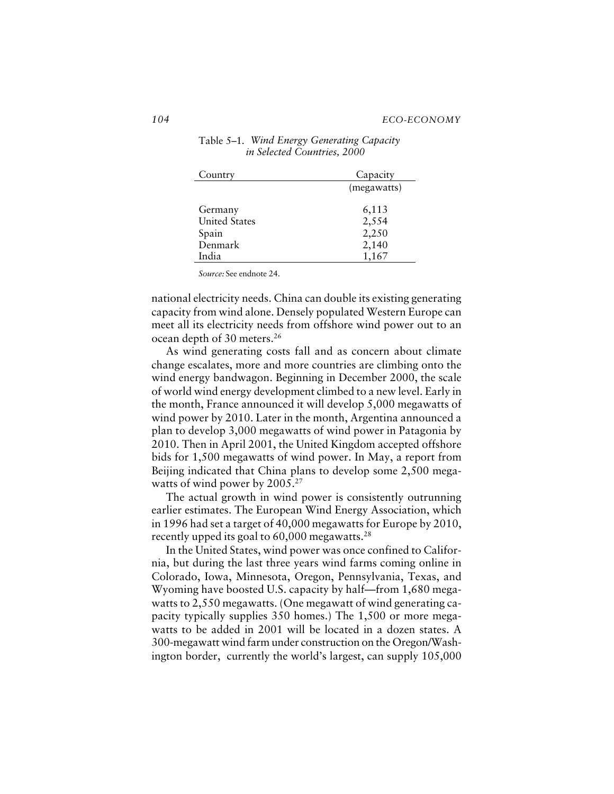| Country              | Capacity    |
|----------------------|-------------|
|                      | (megawatts) |
|                      |             |
| Germany              | 6,113       |
| <b>United States</b> | 2,554       |
| Spain                | 2,250       |
| Denmark              | 2,140       |
| India                | 1,167       |

### Table 5–1. *Wind Energy Generating Capacity in Selected Countries, 2000*

*Source:* See endnote 24.

national electricity needs. China can double its existing generating capacity from wind alone. Densely populated Western Europe can meet all its electricity needs from offshore wind power out to an ocean depth of 30 meters.<sup>26</sup>

As wind generating costs fall and as concern about climate change escalates, more and more countries are climbing onto the wind energy bandwagon. Beginning in December 2000, the scale of world wind energy development climbed to a new level. Early in the month, France announced it will develop 5,000 megawatts of wind power by 2010. Later in the month, Argentina announced a plan to develop 3,000 megawatts of wind power in Patagonia by 2010. Then in April 2001, the United Kingdom accepted offshore bids for 1,500 megawatts of wind power. In May, a report from Beijing indicated that China plans to develop some 2,500 megawatts of wind power by 2005.<sup>27</sup>

The actual growth in wind power is consistently outrunning earlier estimates. The European Wind Energy Association, which in 1996 had set a target of 40,000 megawatts for Europe by 2010, recently upped its goal to  $60,000$  megawatts.<sup>28</sup>

In the United States, wind power was once confined to California, but during the last three years wind farms coming online in Colorado, Iowa, Minnesota, Oregon, Pennsylvania, Texas, and Wyoming have boosted U.S. capacity by half—from 1,680 megawatts to 2,550 megawatts. (One megawatt of wind generating capacity typically supplies 350 homes.) The 1,500 or more megawatts to be added in 2001 will be located in a dozen states. A 300-megawatt wind farm under construction on the Oregon/Washington border, currently the world's largest, can supply 105,000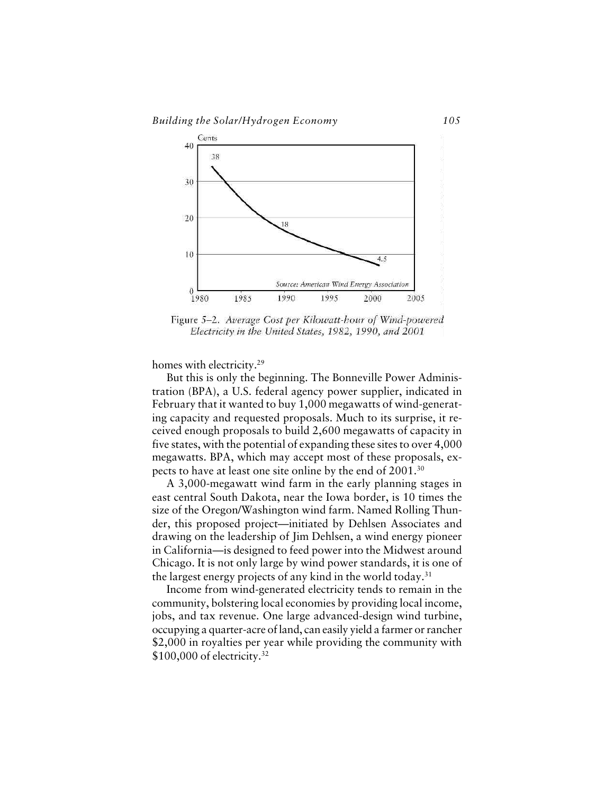### *Building the Solar/Hydrogen Economy 105*



Figure 5-2. Average Cost per Kilowatt-hour of Wind-powered Electricity in the United States, 1982, 1990, and 2001

homes with electricity.<sup>29</sup>

But this is only the beginning. The Bonneville Power Administration (BPA), a U.S. federal agency power supplier, indicated in February that it wanted to buy 1,000 megawatts of wind-generating capacity and requested proposals. Much to its surprise, it received enough proposals to build 2,600 megawatts of capacity in five states, with the potential of expanding these sites to over 4,000 megawatts. BPA, which may accept most of these proposals, expects to have at least one site online by the end of 2001.<sup>30</sup>

A 3,000-megawatt wind farm in the early planning stages in east central South Dakota, near the Iowa border, is 10 times the size of the Oregon/Washington wind farm. Named Rolling Thunder, this proposed project—initiated by Dehlsen Associates and drawing on the leadership of Jim Dehlsen, a wind energy pioneer in California—is designed to feed power into the Midwest around Chicago. It is not only large by wind power standards, it is one of the largest energy projects of any kind in the world today.<sup>31</sup>

Income from wind-generated electricity tends to remain in the community, bolstering local economies by providing local income, jobs, and tax revenue. One large advanced-design wind turbine, occupying a quarter-acre of land, can easily yield a farmer or rancher \$2,000 in royalties per year while providing the community with \$100,000 of electricity.<sup>32</sup>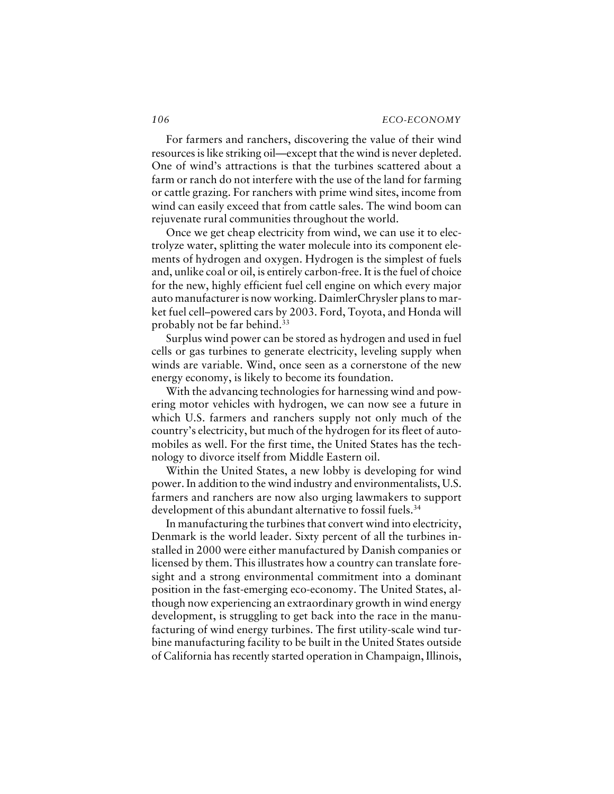### *106 ECO-ECONOMY*

For farmers and ranchers, discovering the value of their wind resources is like striking oil—except that the wind is never depleted. One of wind's attractions is that the turbines scattered about a farm or ranch do not interfere with the use of the land for farming or cattle grazing. For ranchers with prime wind sites, income from wind can easily exceed that from cattle sales. The wind boom can rejuvenate rural communities throughout the world.

Once we get cheap electricity from wind, we can use it to electrolyze water, splitting the water molecule into its component elements of hydrogen and oxygen. Hydrogen is the simplest of fuels and, unlike coal or oil, is entirely carbon-free. It is the fuel of choice for the new, highly efficient fuel cell engine on which every major auto manufacturer is now working. DaimlerChrysler plans to market fuel cell–powered cars by 2003. Ford, Toyota, and Honda will probably not be far behind.<sup>33</sup>

Surplus wind power can be stored as hydrogen and used in fuel cells or gas turbines to generate electricity, leveling supply when winds are variable. Wind, once seen as a cornerstone of the new energy economy, is likely to become its foundation.

With the advancing technologies for harnessing wind and powering motor vehicles with hydrogen, we can now see a future in which U.S. farmers and ranchers supply not only much of the country's electricity, but much of the hydrogen for its fleet of automobiles as well. For the first time, the United States has the technology to divorce itself from Middle Eastern oil.

Within the United States, a new lobby is developing for wind power. In addition to the wind industry and environmentalists, U.S. farmers and ranchers are now also urging lawmakers to support development of this abundant alternative to fossil fuels.<sup>34</sup>

In manufacturing the turbines that convert wind into electricity, Denmark is the world leader. Sixty percent of all the turbines installed in 2000 were either manufactured by Danish companies or licensed by them. This illustrates how a country can translate foresight and a strong environmental commitment into a dominant position in the fast-emerging eco-economy. The United States, although now experiencing an extraordinary growth in wind energy development, is struggling to get back into the race in the manufacturing of wind energy turbines. The first utility-scale wind turbine manufacturing facility to be built in the United States outside of California has recently started operation in Champaign, Illinois,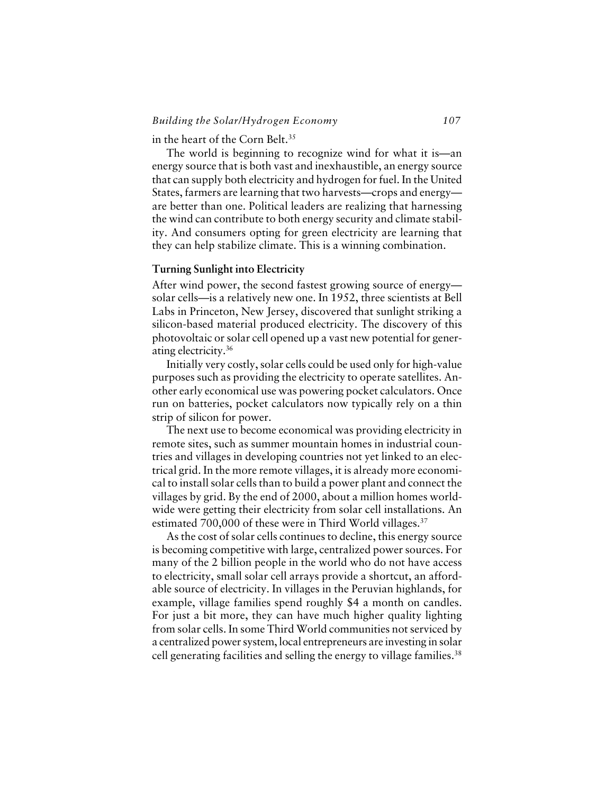in the heart of the Corn Belt.<sup>35</sup>

The world is beginning to recognize wind for what it is—an energy source that is both vast and inexhaustible, an energy source that can supply both electricity and hydrogen for fuel. In the United States, farmers are learning that two harvests—crops and energy are better than one. Political leaders are realizing that harnessing the wind can contribute to both energy security and climate stability. And consumers opting for green electricity are learning that they can help stabilize climate. This is a winning combination.

# **Turning Sunlight into Electricity**

After wind power, the second fastest growing source of energy solar cells—is a relatively new one. In 1952, three scientists at Bell Labs in Princeton, New Jersey, discovered that sunlight striking a silicon-based material produced electricity. The discovery of this photovoltaic or solar cell opened up a vast new potential for generating electricity.<sup>36</sup>

Initially very costly, solar cells could be used only for high-value purposes such as providing the electricity to operate satellites. Another early economical use was powering pocket calculators. Once run on batteries, pocket calculators now typically rely on a thin strip of silicon for power.

The next use to become economical was providing electricity in remote sites, such as summer mountain homes in industrial countries and villages in developing countries not yet linked to an electrical grid. In the more remote villages, it is already more economical to install solar cells than to build a power plant and connect the villages by grid. By the end of 2000, about a million homes worldwide were getting their electricity from solar cell installations. An estimated 700,000 of these were in Third World villages. $37$ 

As the cost of solar cells continues to decline, this energy source is becoming competitive with large, centralized power sources. For many of the 2 billion people in the world who do not have access to electricity, small solar cell arrays provide a shortcut, an affordable source of electricity. In villages in the Peruvian highlands, for example, village families spend roughly \$4 a month on candles. For just a bit more, they can have much higher quality lighting from solar cells. In some Third World communities not serviced by a centralized power system, local entrepreneurs are investing in solar cell generating facilities and selling the energy to village families.<sup>38</sup>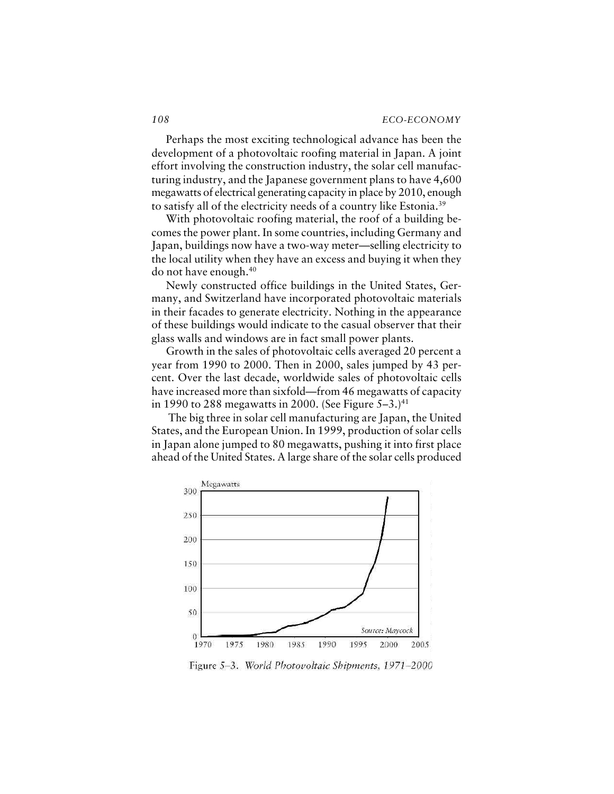### *108 ECO-ECONOMY*

Perhaps the most exciting technological advance has been the development of a photovoltaic roofing material in Japan. A joint effort involving the construction industry, the solar cell manufacturing industry, and the Japanese government plans to have 4,600 megawatts of electrical generating capacity in place by 2010, enough to satisfy all of the electricity needs of a country like Estonia.<sup>39</sup>

With photovoltaic roofing material, the roof of a building becomes the power plant. In some countries, including Germany and Japan, buildings now have a two-way meter—selling electricity to the local utility when they have an excess and buying it when they do not have enough.<sup>40</sup>

Newly constructed office buildings in the United States, Germany, and Switzerland have incorporated photovoltaic materials in their facades to generate electricity. Nothing in the appearance of these buildings would indicate to the casual observer that their glass walls and windows are in fact small power plants.

Growth in the sales of photovoltaic cells averaged 20 percent a year from 1990 to 2000. Then in 2000, sales jumped by 43 percent. Over the last decade, worldwide sales of photovoltaic cells have increased more than sixfold—from 46 megawatts of capacity in 1990 to 288 megawatts in 2000. (See Figure  $5-3$ .)<sup>41</sup>

 The big three in solar cell manufacturing are Japan, the United States, and the European Union. In 1999, production of solar cells in Japan alone jumped to 80 megawatts, pushing it into first place ahead of the United States. A large share of the solar cells produced



Figure 5-3. World Photovoltaic Shipments, 1971-2000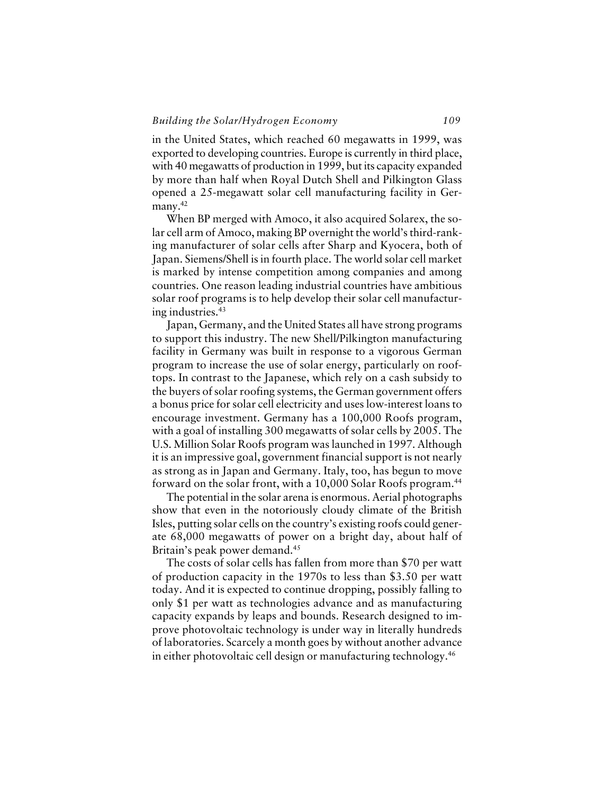in the United States, which reached 60 megawatts in 1999, was exported to developing countries. Europe is currently in third place, with 40 megawatts of production in 1999, but its capacity expanded by more than half when Royal Dutch Shell and Pilkington Glass opened a 25-megawatt solar cell manufacturing facility in Germany.<sup>42</sup>

When BP merged with Amoco, it also acquired Solarex, the solar cell arm of Amoco, making BP overnight the world's third-ranking manufacturer of solar cells after Sharp and Kyocera, both of Japan. Siemens/Shell is in fourth place. The world solar cell market is marked by intense competition among companies and among countries. One reason leading industrial countries have ambitious solar roof programs is to help develop their solar cell manufacturing industries.<sup>43</sup>

Japan, Germany, and the United States all have strong programs to support this industry. The new Shell/Pilkington manufacturing facility in Germany was built in response to a vigorous German program to increase the use of solar energy, particularly on rooftops. In contrast to the Japanese, which rely on a cash subsidy to the buyers of solar roofing systems, the German government offers a bonus price for solar cell electricity and uses low-interest loans to encourage investment. Germany has a 100,000 Roofs program, with a goal of installing 300 megawatts of solar cells by 2005. The U.S. Million Solar Roofs program was launched in 1997. Although it is an impressive goal, government financial support is not nearly as strong as in Japan and Germany. Italy, too, has begun to move forward on the solar front, with a 10,000 Solar Roofs program.<sup>44</sup>

The potential in the solar arena is enormous. Aerial photographs show that even in the notoriously cloudy climate of the British Isles, putting solar cells on the country's existing roofs could generate 68,000 megawatts of power on a bright day, about half of Britain's peak power demand.<sup>45</sup>

The costs of solar cells has fallen from more than \$70 per watt of production capacity in the 1970s to less than \$3.50 per watt today. And it is expected to continue dropping, possibly falling to only \$1 per watt as technologies advance and as manufacturing capacity expands by leaps and bounds. Research designed to improve photovoltaic technology is under way in literally hundreds of laboratories. Scarcely a month goes by without another advance in either photovoltaic cell design or manufacturing technology.46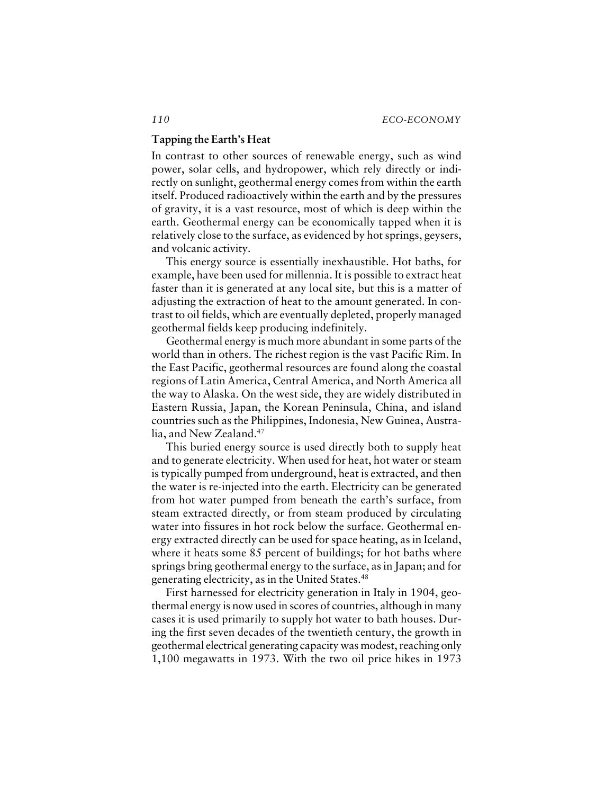# **Tapping the Earth's Heat**

In contrast to other sources of renewable energy, such as wind power, solar cells, and hydropower, which rely directly or indirectly on sunlight, geothermal energy comes from within the earth itself. Produced radioactively within the earth and by the pressures of gravity, it is a vast resource, most of which is deep within the earth. Geothermal energy can be economically tapped when it is relatively close to the surface, as evidenced by hot springs, geysers, and volcanic activity.

This energy source is essentially inexhaustible. Hot baths, for example, have been used for millennia. It is possible to extract heat faster than it is generated at any local site, but this is a matter of adjusting the extraction of heat to the amount generated. In contrast to oil fields, which are eventually depleted, properly managed geothermal fields keep producing indefinitely.

Geothermal energy is much more abundant in some parts of the world than in others. The richest region is the vast Pacific Rim. In the East Pacific, geothermal resources are found along the coastal regions of Latin America, Central America, and North America all the way to Alaska. On the west side, they are widely distributed in Eastern Russia, Japan, the Korean Peninsula, China, and island countries such as the Philippines, Indonesia, New Guinea, Australia, and New Zealand.<sup>47</sup>

This buried energy source is used directly both to supply heat and to generate electricity. When used for heat, hot water or steam is typically pumped from underground, heat is extracted, and then the water is re-injected into the earth. Electricity can be generated from hot water pumped from beneath the earth's surface, from steam extracted directly, or from steam produced by circulating water into fissures in hot rock below the surface. Geothermal energy extracted directly can be used for space heating, as in Iceland, where it heats some 85 percent of buildings; for hot baths where springs bring geothermal energy to the surface, as in Japan; and for generating electricity, as in the United States.<sup>48</sup>

First harnessed for electricity generation in Italy in 1904, geothermal energy is now used in scores of countries, although in many cases it is used primarily to supply hot water to bath houses. During the first seven decades of the twentieth century, the growth in geothermal electrical generating capacity was modest, reaching only 1,100 megawatts in 1973. With the two oil price hikes in 1973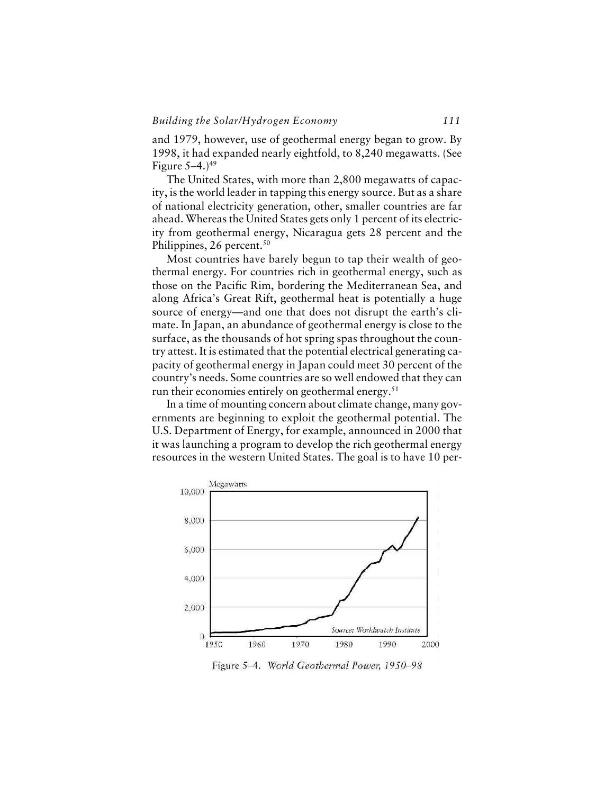and 1979, however, use of geothermal energy began to grow. By 1998, it had expanded nearly eightfold, to 8,240 megawatts. (See Figure  $5-4.$ )<sup>49</sup>

The United States, with more than 2,800 megawatts of capacity, is the world leader in tapping this energy source. But as a share of national electricity generation, other, smaller countries are far ahead. Whereas the United States gets only 1 percent of its electricity from geothermal energy, Nicaragua gets 28 percent and the Philippines, 26 percent.<sup>50</sup>

Most countries have barely begun to tap their wealth of geothermal energy. For countries rich in geothermal energy, such as those on the Pacific Rim, bordering the Mediterranean Sea, and along Africa's Great Rift, geothermal heat is potentially a huge source of energy—and one that does not disrupt the earth's climate. In Japan, an abundance of geothermal energy is close to the surface, as the thousands of hot spring spas throughout the country attest. It is estimated that the potential electrical generating capacity of geothermal energy in Japan could meet 30 percent of the country's needs. Some countries are so well endowed that they can run their economies entirely on geothermal energy.<sup>51</sup>

In a time of mounting concern about climate change, many governments are beginning to exploit the geothermal potential. The U.S. Department of Energy, for example, announced in 2000 that it was launching a program to develop the rich geothermal energy resources in the western United States. The goal is to have 10 per-



Figure 5-4. World Geothermal Power, 1950-98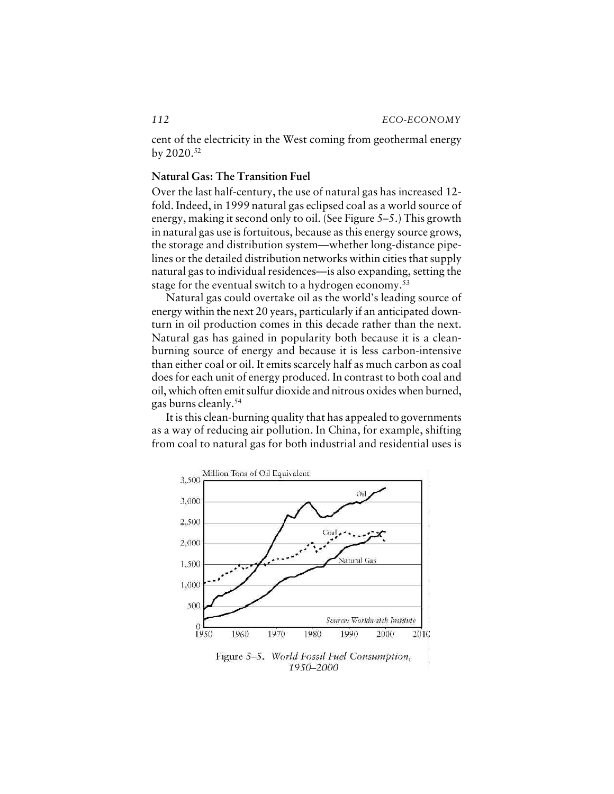cent of the electricity in the West coming from geothermal energy by 2020.<sup>52</sup>

# **Natural Gas: The Transition Fuel**

Over the last half-century, the use of natural gas has increased 12 fold. Indeed, in 1999 natural gas eclipsed coal as a world source of energy, making it second only to oil. (See Figure 5–5.) This growth in natural gas use is fortuitous, because as this energy source grows, the storage and distribution system—whether long-distance pipelines or the detailed distribution networks within cities that supply natural gas to individual residences—is also expanding, setting the stage for the eventual switch to a hydrogen economy.<sup>53</sup>

Natural gas could overtake oil as the world's leading source of energy within the next 20 years, particularly if an anticipated downturn in oil production comes in this decade rather than the next. Natural gas has gained in popularity both because it is a cleanburning source of energy and because it is less carbon-intensive than either coal or oil. It emits scarcely half as much carbon as coal does for each unit of energy produced. In contrast to both coal and oil, which often emit sulfur dioxide and nitrous oxides when burned, gas burns cleanly.<sup>54</sup>

It is this clean-burning quality that has appealed to governments as a way of reducing air pollution. In China, for example, shifting from coal to natural gas for both industrial and residential uses is

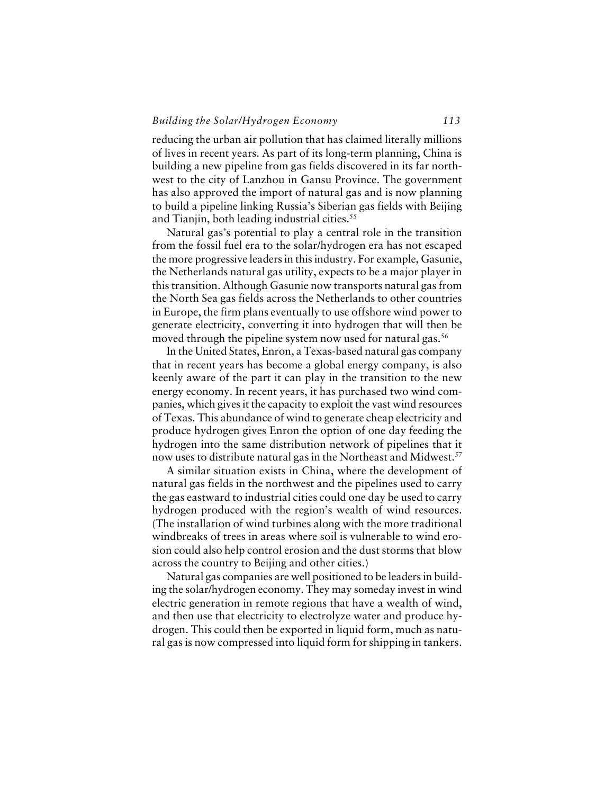reducing the urban air pollution that has claimed literally millions of lives in recent years. As part of its long-term planning, China is building a new pipeline from gas fields discovered in its far northwest to the city of Lanzhou in Gansu Province. The government has also approved the import of natural gas and is now planning to build a pipeline linking Russia's Siberian gas fields with Beijing and Tianjin, both leading industrial cities.<sup>55</sup>

Natural gas's potential to play a central role in the transition from the fossil fuel era to the solar/hydrogen era has not escaped the more progressive leaders in this industry. For example, Gasunie, the Netherlands natural gas utility, expects to be a major player in this transition. Although Gasunie now transports natural gas from the North Sea gas fields across the Netherlands to other countries in Europe, the firm plans eventually to use offshore wind power to generate electricity, converting it into hydrogen that will then be moved through the pipeline system now used for natural gas.<sup>56</sup>

In the United States, Enron, a Texas-based natural gas company that in recent years has become a global energy company, is also keenly aware of the part it can play in the transition to the new energy economy. In recent years, it has purchased two wind companies, which gives it the capacity to exploit the vast wind resources of Texas. This abundance of wind to generate cheap electricity and produce hydrogen gives Enron the option of one day feeding the hydrogen into the same distribution network of pipelines that it now uses to distribute natural gas in the Northeast and Midwest.<sup>57</sup>

A similar situation exists in China, where the development of natural gas fields in the northwest and the pipelines used to carry the gas eastward to industrial cities could one day be used to carry hydrogen produced with the region's wealth of wind resources. (The installation of wind turbines along with the more traditional windbreaks of trees in areas where soil is vulnerable to wind erosion could also help control erosion and the dust storms that blow across the country to Beijing and other cities.)

Natural gas companies are well positioned to be leaders in building the solar/hydrogen economy. They may someday invest in wind electric generation in remote regions that have a wealth of wind, and then use that electricity to electrolyze water and produce hydrogen. This could then be exported in liquid form, much as natural gas is now compressed into liquid form for shipping in tankers.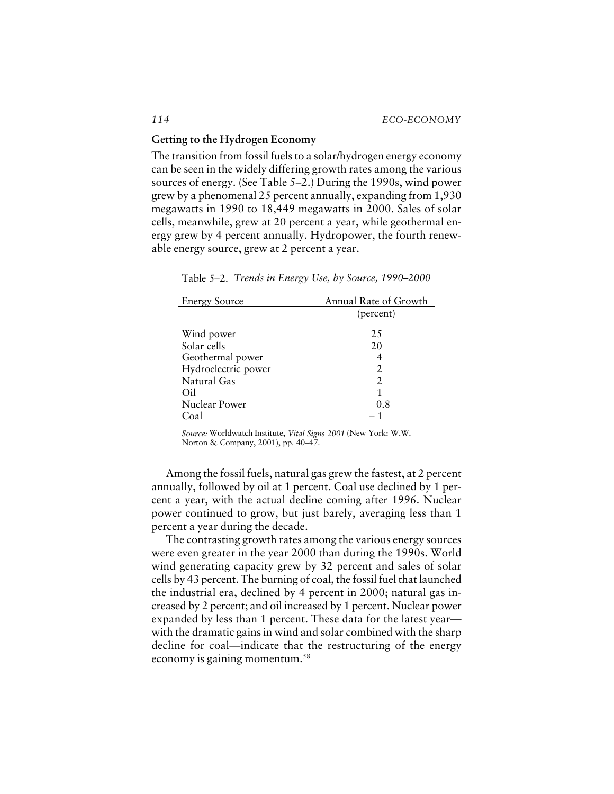# **Getting to the Hydrogen Economy**

The transition from fossil fuels to a solar/hydrogen energy economy can be seen in the widely differing growth rates among the various sources of energy. (See Table 5–2.) During the 1990s, wind power grew by a phenomenal 25 percent annually, expanding from 1,930 megawatts in 1990 to 18,449 megawatts in 2000. Sales of solar cells, meanwhile, grew at 20 percent a year, while geothermal energy grew by 4 percent annually. Hydropower, the fourth renewable energy source, grew at 2 percent a year.

Table 5–2. *Trends in Energy Use, by Source, 1990–2000*

| <b>Energy Source</b> | Annual Rate of Growth |
|----------------------|-----------------------|
|                      | (percent)             |
| Wind power           | 25                    |
| Solar cells          | 20                    |
| Geothermal power     |                       |
| Hydroelectric power  | 2                     |
| Natural Gas          | 2                     |
| Oil                  | 1                     |
| Nuclear Power        | 0.8                   |
| Coal                 |                       |

*Source:* Worldwatch Institute, *Vital Signs 2001* (New York: W.W. Norton & Company, 2001), pp. 40–47.

Among the fossil fuels, natural gas grew the fastest, at 2 percent annually, followed by oil at 1 percent. Coal use declined by 1 percent a year, with the actual decline coming after 1996. Nuclear power continued to grow, but just barely, averaging less than 1 percent a year during the decade.

The contrasting growth rates among the various energy sources were even greater in the year 2000 than during the 1990s. World wind generating capacity grew by 32 percent and sales of solar cells by 43 percent. The burning of coal, the fossil fuel that launched the industrial era, declined by 4 percent in 2000; natural gas increased by 2 percent; and oil increased by 1 percent. Nuclear power expanded by less than 1 percent. These data for the latest year with the dramatic gains in wind and solar combined with the sharp decline for coal—indicate that the restructuring of the energy economy is gaining momentum.<sup>58</sup>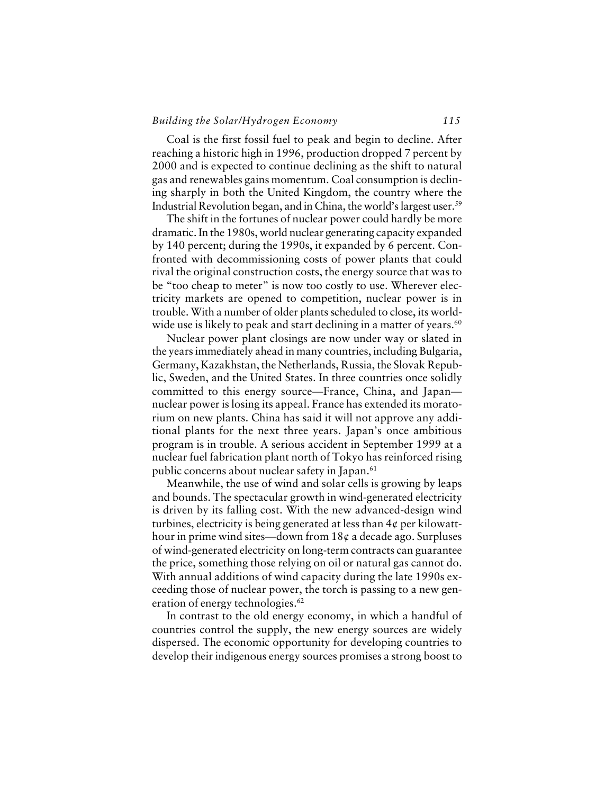# *Building the Solar/Hydrogen Economy 115*

Coal is the first fossil fuel to peak and begin to decline. After reaching a historic high in 1996, production dropped 7 percent by 2000 and is expected to continue declining as the shift to natural gas and renewables gains momentum. Coal consumption is declining sharply in both the United Kingdom, the country where the Industrial Revolution began, and in China, the world's largest user.<sup>59</sup>

The shift in the fortunes of nuclear power could hardly be more dramatic. In the 1980s, world nuclear generating capacity expanded by 140 percent; during the 1990s, it expanded by 6 percent. Confronted with decommissioning costs of power plants that could rival the original construction costs, the energy source that was to be "too cheap to meter" is now too costly to use. Wherever electricity markets are opened to competition, nuclear power is in trouble. With a number of older plants scheduled to close, its worldwide use is likely to peak and start declining in a matter of years.<sup>60</sup>

Nuclear power plant closings are now under way or slated in the years immediately ahead in many countries, including Bulgaria, Germany, Kazakhstan, the Netherlands, Russia, the Slovak Republic, Sweden, and the United States. In three countries once solidly committed to this energy source—France, China, and Japan nuclear power is losing its appeal. France has extended its moratorium on new plants. China has said it will not approve any additional plants for the next three years. Japan's once ambitious program is in trouble. A serious accident in September 1999 at a nuclear fuel fabrication plant north of Tokyo has reinforced rising public concerns about nuclear safety in Japan.<sup>61</sup>

Meanwhile, the use of wind and solar cells is growing by leaps and bounds. The spectacular growth in wind-generated electricity is driven by its falling cost. With the new advanced-design wind turbines, electricity is being generated at less than  $4\phi$  per kilowatthour in prime wind sites—down from  $18¢$  a decade ago. Surpluses of wind-generated electricity on long-term contracts can guarantee the price, something those relying on oil or natural gas cannot do. With annual additions of wind capacity during the late 1990s exceeding those of nuclear power, the torch is passing to a new generation of energy technologies.<sup>62</sup>

In contrast to the old energy economy, in which a handful of countries control the supply, the new energy sources are widely dispersed. The economic opportunity for developing countries to develop their indigenous energy sources promises a strong boost to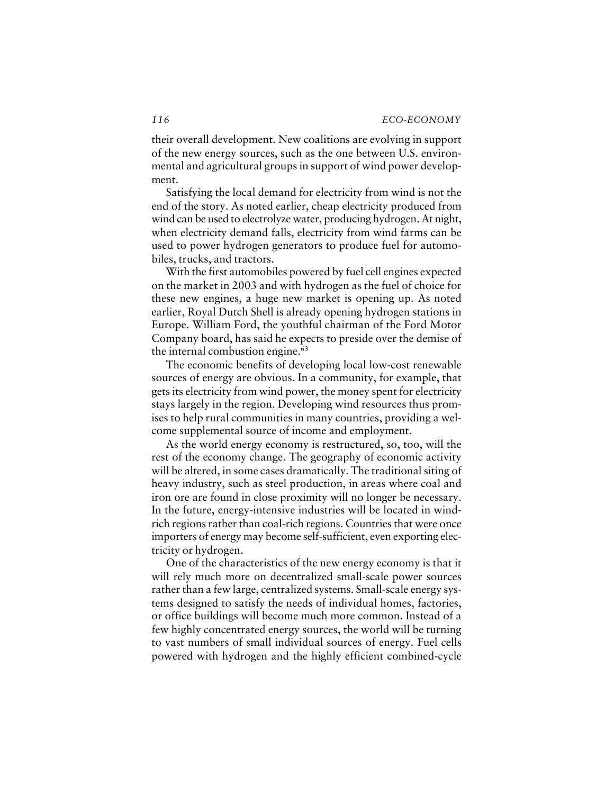their overall development. New coalitions are evolving in support of the new energy sources, such as the one between U.S. environmental and agricultural groups in support of wind power development.

Satisfying the local demand for electricity from wind is not the end of the story. As noted earlier, cheap electricity produced from wind can be used to electrolyze water, producing hydrogen. At night, when electricity demand falls, electricity from wind farms can be used to power hydrogen generators to produce fuel for automobiles, trucks, and tractors.

With the first automobiles powered by fuel cell engines expected on the market in 2003 and with hydrogen as the fuel of choice for these new engines, a huge new market is opening up. As noted earlier, Royal Dutch Shell is already opening hydrogen stations in Europe. William Ford, the youthful chairman of the Ford Motor Company board, has said he expects to preside over the demise of the internal combustion engine.<sup>63</sup>

The economic benefits of developing local low-cost renewable sources of energy are obvious. In a community, for example, that gets its electricity from wind power, the money spent for electricity stays largely in the region. Developing wind resources thus promises to help rural communities in many countries, providing a welcome supplemental source of income and employment.

As the world energy economy is restructured, so, too, will the rest of the economy change. The geography of economic activity will be altered, in some cases dramatically. The traditional siting of heavy industry, such as steel production, in areas where coal and iron ore are found in close proximity will no longer be necessary. In the future, energy-intensive industries will be located in windrich regions rather than coal-rich regions. Countries that were once importers of energy may become self-sufficient, even exporting electricity or hydrogen.

One of the characteristics of the new energy economy is that it will rely much more on decentralized small-scale power sources rather than a few large, centralized systems. Small-scale energy systems designed to satisfy the needs of individual homes, factories, or office buildings will become much more common. Instead of a few highly concentrated energy sources, the world will be turning to vast numbers of small individual sources of energy. Fuel cells powered with hydrogen and the highly efficient combined-cycle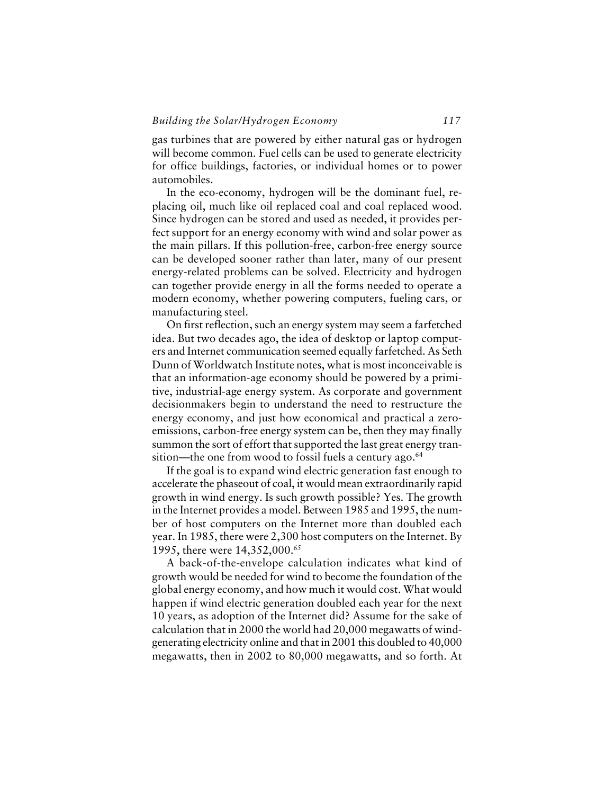gas turbines that are powered by either natural gas or hydrogen will become common. Fuel cells can be used to generate electricity for office buildings, factories, or individual homes or to power automobiles.

In the eco-economy, hydrogen will be the dominant fuel, replacing oil, much like oil replaced coal and coal replaced wood. Since hydrogen can be stored and used as needed, it provides perfect support for an energy economy with wind and solar power as the main pillars. If this pollution-free, carbon-free energy source can be developed sooner rather than later, many of our present energy-related problems can be solved. Electricity and hydrogen can together provide energy in all the forms needed to operate a modern economy, whether powering computers, fueling cars, or manufacturing steel.

On first reflection, such an energy system may seem a farfetched idea. But two decades ago, the idea of desktop or laptop computers and Internet communication seemed equally farfetched. As Seth Dunn of Worldwatch Institute notes, what is most inconceivable is that an information-age economy should be powered by a primitive, industrial-age energy system. As corporate and government decisionmakers begin to understand the need to restructure the energy economy, and just how economical and practical a zeroemissions, carbon-free energy system can be, then they may finally summon the sort of effort that supported the last great energy transition—the one from wood to fossil fuels a century ago.<sup>64</sup>

If the goal is to expand wind electric generation fast enough to accelerate the phaseout of coal, it would mean extraordinarily rapid growth in wind energy. Is such growth possible? Yes. The growth in the Internet provides a model. Between 1985 and 1995, the number of host computers on the Internet more than doubled each year. In 1985, there were 2,300 host computers on the Internet. By 1995, there were 14,352,000.<sup>65</sup>

A back-of-the-envelope calculation indicates what kind of growth would be needed for wind to become the foundation of the global energy economy, and how much it would cost. What would happen if wind electric generation doubled each year for the next 10 years, as adoption of the Internet did? Assume for the sake of calculation that in 2000 the world had 20,000 megawatts of windgenerating electricity online and that in 2001 this doubled to 40,000 megawatts, then in 2002 to 80,000 megawatts, and so forth. At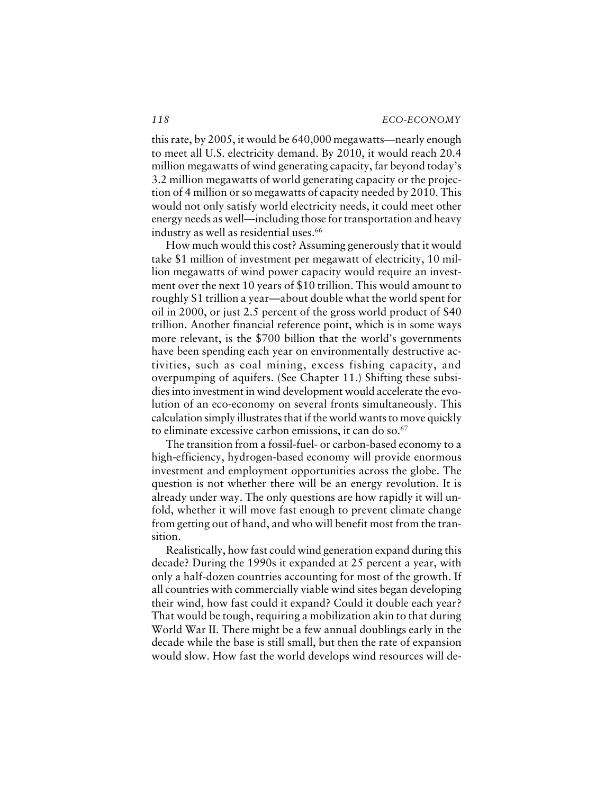this rate, by 2005, it would be 640,000 megawatts—nearly enough to meet all U.S. electricity demand. By 2010, it would reach 20.4 million megawatts of wind generating capacity, far beyond today's 3.2 million megawatts of world generating capacity or the projection of 4 million or so megawatts of capacity needed by 2010. This would not only satisfy world electricity needs, it could meet other energy needs as well—including those for transportation and heavy industry as well as residential uses.<sup>66</sup>

How much would this cost? Assuming generously that it would take \$1 million of investment per megawatt of electricity, 10 million megawatts of wind power capacity would require an investment over the next 10 years of \$10 trillion. This would amount to roughly \$1 trillion a year—about double what the world spent for oil in 2000, or just 2.5 percent of the gross world product of \$40 trillion. Another financial reference point, which is in some ways more relevant, is the \$700 billion that the world's governments have been spending each year on environmentally destructive activities, such as coal mining, excess fishing capacity, and overpumping of aquifers. (See Chapter 11.) Shifting these subsidies into investment in wind development would accelerate the evolution of an eco-economy on several fronts simultaneously. This calculation simply illustrates that if the world wants to move quickly to eliminate excessive carbon emissions, it can do so.<sup>67</sup>

The transition from a fossil-fuel- or carbon-based economy to a high-efficiency, hydrogen-based economy will provide enormous investment and employment opportunities across the globe. The question is not whether there will be an energy revolution. It is already under way. The only questions are how rapidly it will unfold, whether it will move fast enough to prevent climate change from getting out of hand, and who will benefit most from the transition.

Realistically, how fast could wind generation expand during this decade? During the 1990s it expanded at 25 percent a year, with only a half-dozen countries accounting for most of the growth. If all countries with commercially viable wind sites began developing their wind, how fast could it expand? Could it double each year? That would be tough, requiring a mobilization akin to that during World War II. There might be a few annual doublings early in the decade while the base is still small, but then the rate of expansion would slow. How fast the world develops wind resources will de